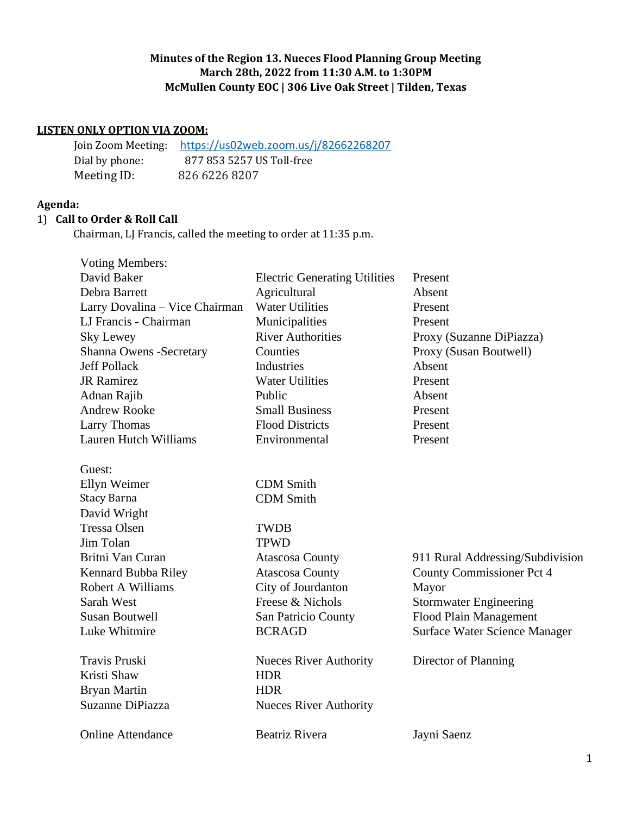## **Minutes of the Region 13. Nueces Flood Planning Group Meeting March 28th, 2022 from 11:30 A.M. to 1:30PM McMullen County EOC | 306 Live Oak Street | Tilden, Texas**

## **LISTEN ONLY OPTION VIA ZOOM:**

|                | Join Zoom Meeting: https://us02web.zoom.us/j/82662268207 |
|----------------|----------------------------------------------------------|
| Dial by phone: | 877 853 5257 US Toll-free                                |
| Meeting ID:    | 826 6226 8207                                            |

## **Agenda:**

## 1) **Call to Order & Roll Call**

Chairman, LJ Francis, called the meeting to order at 11:35 p.m.

| <b>Voting Members:</b>         |                                      |                                  |
|--------------------------------|--------------------------------------|----------------------------------|
| David Baker                    | <b>Electric Generating Utilities</b> | Present                          |
| Debra Barrett                  | Agricultural                         | Absent                           |
| Larry Dovalina - Vice Chairman | <b>Water Utilities</b>               | Present                          |
| LJ Francis - Chairman          | Municipalities                       | Present                          |
| Sky Lewey                      | <b>River Authorities</b>             | Proxy (Suzanne DiPiazza)         |
| Shanna Owens -Secretary        | Counties                             | Proxy (Susan Boutwell)           |
| <b>Jeff Pollack</b>            | Industries                           | Absent                           |
| <b>JR</b> Ramirez              | <b>Water Utilities</b>               | Present                          |
| Adnan Rajib                    | Public                               | Absent                           |
| <b>Andrew Rooke</b>            | <b>Small Business</b>                | Present                          |
| <b>Larry Thomas</b>            | <b>Flood Districts</b>               | Present                          |
| <b>Lauren Hutch Williams</b>   | Environmental                        | Present                          |
| Guest:                         |                                      |                                  |
| Ellyn Weimer                   | <b>CDM</b> Smith                     |                                  |
| <b>Stacy Barna</b>             | <b>CDM</b> Smith                     |                                  |
| David Wright                   |                                      |                                  |
| <b>Tressa Olsen</b>            | <b>TWDB</b>                          |                                  |
| Jim Tolan                      | <b>TPWD</b>                          |                                  |
| Britni Van Curan               | <b>Atascosa County</b>               | 911 Rural Addressing/Subdivision |
| Kennard Bubba Riley            | <b>Atascosa County</b>               | County Commissioner Pct 4        |
| <b>Robert A Williams</b>       | City of Jourdanton                   | Mayor                            |
| Sarah West                     | Freese & Nichols                     | <b>Stormwater Engineering</b>    |
| <b>Susan Boutwell</b>          | San Patricio County                  | Flood Plain Management           |
| Luke Whitmire                  | <b>BCRAGD</b>                        | Surface Water Science Manager    |
| <b>Travis Pruski</b>           | <b>Nueces River Authority</b>        | Director of Planning             |
| Kristi Shaw                    | <b>HDR</b>                           |                                  |
| Bryan Martin                   | <b>HDR</b>                           |                                  |
| Suzanne DiPiazza               | <b>Nueces River Authority</b>        |                                  |
| <b>Online Attendance</b>       | <b>Beatriz Rivera</b>                | Jayni Saenz                      |
|                                |                                      |                                  |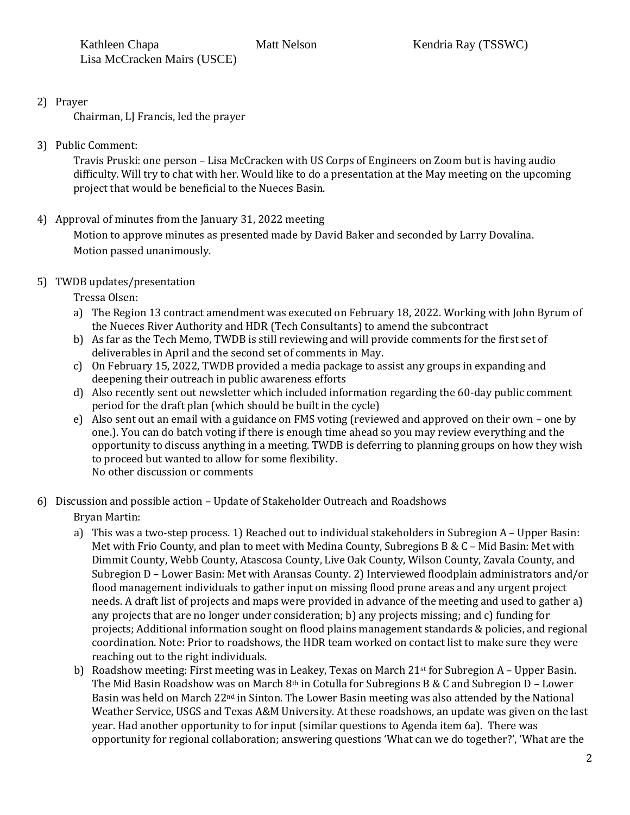2) Prayer

Chairman, LJ Francis, led the prayer

3) Public Comment:

Travis Pruski: one person – Lisa McCracken with US Corps of Engineers on Zoom but is having audio difficulty. Will try to chat with her. Would like to do a presentation at the May meeting on the upcoming project that would be beneficial to the Nueces Basin.

4) Approval of minutes from the January 31, 2022 meeting

Motion to approve minutes as presented made by David Baker and seconded by Larry Dovalina. Motion passed unanimously.

5) TWDB updates/presentation

Tressa Olsen:

- a) The Region 13 contract amendment was executed on February 18, 2022. Working with John Byrum of the Nueces River Authority and HDR (Tech Consultants) to amend the subcontract
- b) As far as the Tech Memo, TWDB is still reviewing and will provide comments for the first set of deliverables in April and the second set of comments in May.
- c) On February 15, 2022, TWDB provided a media package to assist any groups in expanding and deepening their outreach in public awareness efforts
- d) Also recently sent out newsletter which included information regarding the 60-day public comment period for the draft plan (which should be built in the cycle)
- e) Also sent out an email with a guidance on FMS voting (reviewed and approved on their own one by one.). You can do batch voting if there is enough time ahead so you may review everything and the opportunity to discuss anything in a meeting. TWDB is deferring to planning groups on how they wish to proceed but wanted to allow for some flexibility. No other discussion or comments
- 6) Discussion and possible action Update of Stakeholder Outreach and Roadshows Bryan Martin:
	- a) This was a two-step process. 1) Reached out to individual stakeholders in Subregion A Upper Basin: Met with Frio County, and plan to meet with Medina County, Subregions B & C – Mid Basin: Met with Dimmit County, Webb County, Atascosa County, Live Oak County, Wilson County, Zavala County, and Subregion D – Lower Basin: Met with Aransas County. 2) Interviewed floodplain administrators and/or flood management individuals to gather input on missing flood prone areas and any urgent project needs. A draft list of projects and maps were provided in advance of the meeting and used to gather a) any projects that are no longer under consideration; b) any projects missing; and c) funding for projects; Additional information sought on flood plains management standards & policies, and regional coordination. Note: Prior to roadshows, the HDR team worked on contact list to make sure they were reaching out to the right individuals.
	- b) Roadshow meeting: First meeting was in Leakey, Texas on March  $21<sup>st</sup>$  for Subregion A Upper Basin. The Mid Basin Roadshow was on March 8<sup>th</sup> in Cotulla for Subregions B & C and Subregion D - Lower Basin was held on March  $22<sup>nd</sup>$  in Sinton. The Lower Basin meeting was also attended by the National Weather Service, USGS and Texas A&M University. At these roadshows, an update was given on the last year. Had another opportunity to for input (similar questions to Agenda item 6a). There was opportunity for regional collaboration; answering questions 'What can we do together?', 'What are the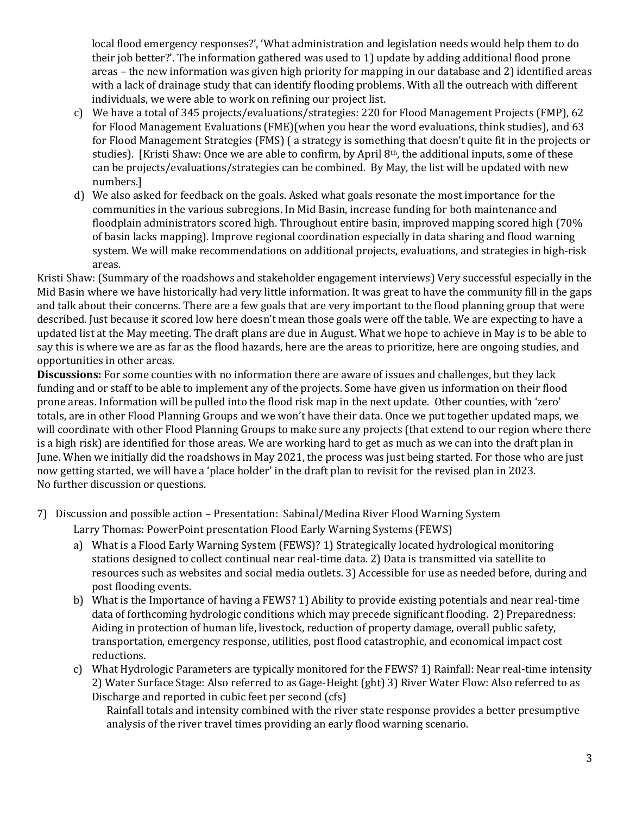local flood emergency responses?', 'What administration and legislation needs would help them to do their job better?'. The information gathered was used to 1) update by adding additional flood prone areas – the new information was given high priority for mapping in our database and 2) identified areas with a lack of drainage study that can identify flooding problems. With all the outreach with different individuals, we were able to work on refining our project list.

- c) We have a total of 345 projects/evaluations/strategies: 220 for Flood Management Projects (FMP), 62 for Flood Management Evaluations (FME)(when you hear the word evaluations, think studies), and 63 for Flood Management Strategies (FMS) ( a strategy is something that doesn't quite fit in the projects or studies). [Kristi Shaw: Once we are able to confirm, by April 8<sup>th</sup>, the additional inputs, some of these can be projects/evaluations/strategies can be combined. By May, the list will be updated with new numbers.]
- d) We also asked for feedback on the goals. Asked what goals resonate the most importance for the communities in the various subregions. In Mid Basin, increase funding for both maintenance and floodplain administrators scored high. Throughout entire basin, improved mapping scored high (70% of basin lacks mapping). Improve regional coordination especially in data sharing and flood warning system. We will make recommendations on additional projects, evaluations, and strategies in high-risk areas.

Kristi Shaw: (Summary of the roadshows and stakeholder engagement interviews) Very successful especially in the Mid Basin where we have historically had very little information. It was great to have the community fill in the gaps and talk about their concerns. There are a few goals that are very important to the flood planning group that were described. Just because it scored low here doesn't mean those goals were off the table. We are expecting to have a updated list at the May meeting. The draft plans are due in August. What we hope to achieve in May is to be able to say this is where we are as far as the flood hazards, here are the areas to prioritize, here are ongoing studies, and opportunities in other areas.

**Discussions:** For some counties with no information there are aware of issues and challenges, but they lack funding and or staff to be able to implement any of the projects. Some have given us information on their flood prone areas. Information will be pulled into the flood risk map in the next update. Other counties, with 'zero' totals, are in other Flood Planning Groups and we won't have their data. Once we put together updated maps, we will coordinate with other Flood Planning Groups to make sure any projects (that extend to our region where there is a high risk) are identified for those areas. We are working hard to get as much as we can into the draft plan in June. When we initially did the roadshows in May 2021, the process was just being started. For those who are just now getting started, we will have a 'place holder' in the draft plan to revisit for the revised plan in 2023. No further discussion or questions.

7) Discussion and possible action – Presentation: Sabinal/Medina River Flood Warning System

Larry Thomas: PowerPoint presentation Flood Early Warning Systems (FEWS)

- a) What is a Flood Early Warning System (FEWS)? 1) Strategically located hydrological monitoring stations designed to collect continual near real-time data. 2) Data is transmitted via satellite to resources such as websites and social media outlets. 3) Accessible for use as needed before, during and post flooding events.
- b) What is the Importance of having a FEWS? 1) Ability to provide existing potentials and near real-time data of forthcoming hydrologic conditions which may precede significant flooding. 2) Preparedness: Aiding in protection of human life, livestock, reduction of property damage, overall public safety, transportation, emergency response, utilities, post flood catastrophic, and economical impact cost reductions.
- c) What Hydrologic Parameters are typically monitored for the FEWS? 1) Rainfall: Near real-time intensity 2) Water Surface Stage: Also referred to as Gage-Height (ght) 3) River Water Flow: Also referred to as Discharge and reported in cubic feet per second (cfs)

Rainfall totals and intensity combined with the river state response provides a better presumptive analysis of the river travel times providing an early flood warning scenario.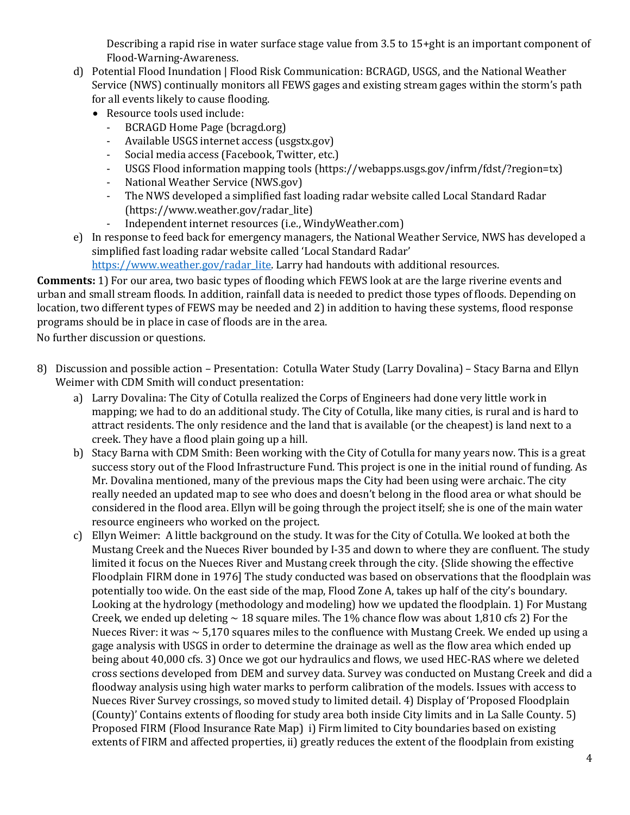Describing a rapid rise in water surface stage value from 3.5 to 15+ght is an important component of Flood-Warning-Awareness.

- d) Potential Flood Inundation | Flood Risk Communication: BCRAGD, USGS, and the National Weather Service (NWS) continually monitors all FEWS gages and existing stream gages within the storm's path for all events likely to cause flooding.
	- Resource tools used include:
		- BCRAGD Home Page (bcragd.org)
		- Available USGS internet access (usgstx.gov)
		- Social media access (Facebook, Twitter, etc.)
		- USGS Flood information mapping tools (https://webapps.usgs.gov/infrm/fdst/?region=tx)
		- National Weather Service (NWS.gov)
		- The NWS developed a simplified fast loading radar website called Local Standard Radar (https://www.weather.gov/radar\_lite)
		- Independent internet resources (i.e., WindyWeather.com)
- e) In response to feed back for emergency managers, the National Weather Service, NWS has developed a simplified fast loading radar website called 'Local Standard Radar' [https://www.weather.gov/radar\\_lite.](https://www.weather.gov/radar_lite) Larry had handouts with additional resources.

**Comments:** 1) For our area, two basic types of flooding which FEWS look at are the large riverine events and urban and small stream floods. In addition, rainfall data is needed to predict those types of floods. Depending on location, two different types of FEWS may be needed and 2) in addition to having these systems, flood response programs should be in place in case of floods are in the area.

No further discussion or questions.

- 8) Discussion and possible action Presentation: Cotulla Water Study (Larry Dovalina) Stacy Barna and Ellyn Weimer with CDM Smith will conduct presentation:
	- a) Larry Dovalina: The City of Cotulla realized the Corps of Engineers had done very little work in mapping; we had to do an additional study. The City of Cotulla, like many cities, is rural and is hard to attract residents. The only residence and the land that is available (or the cheapest) is land next to a creek. They have a flood plain going up a hill.
	- b) Stacy Barna with CDM Smith: Been working with the City of Cotulla for many years now. This is a great success story out of the Flood Infrastructure Fund. This project is one in the initial round of funding. As Mr. Dovalina mentioned, many of the previous maps the City had been using were archaic. The city really needed an updated map to see who does and doesn't belong in the flood area or what should be considered in the flood area. Ellyn will be going through the project itself; she is one of the main water resource engineers who worked on the project.
	- c) Ellyn Weimer: A little background on the study. It was for the City of Cotulla. We looked at both the Mustang Creek and the Nueces River bounded by I-35 and down to where they are confluent. The study limited it focus on the Nueces River and Mustang creek through the city. {Slide showing the effective Floodplain FIRM done in 1976] The study conducted was based on observations that the floodplain was potentially too wide. On the east side of the map, Flood Zone A, takes up half of the city's boundary. Looking at the hydrology (methodology and modeling) how we updated the floodplain. 1) For Mustang Creek, we ended up deleting  $\sim$  18 square miles. The 1% chance flow was about 1,810 cfs 2) For the Nueces River: it was  $\sim$  5,170 squares miles to the confluence with Mustang Creek. We ended up using a gage analysis with USGS in order to determine the drainage as well as the flow area which ended up being about 40,000 cfs. 3) Once we got our hydraulics and flows, we used HEC-RAS where we deleted cross sections developed from DEM and survey data. Survey was conducted on Mustang Creek and did a floodway analysis using high water marks to perform calibration of the models. Issues with access to Nueces River Survey crossings, so moved study to limited detail. 4) Display of 'Proposed Floodplain (County)' Contains extents of flooding for study area both inside City limits and in La Salle County. 5) Proposed FIRM (Flood Insurance Rate Map) i) Firm limited to City boundaries based on existing extents of FIRM and affected properties, ii) greatly reduces the extent of the floodplain from existing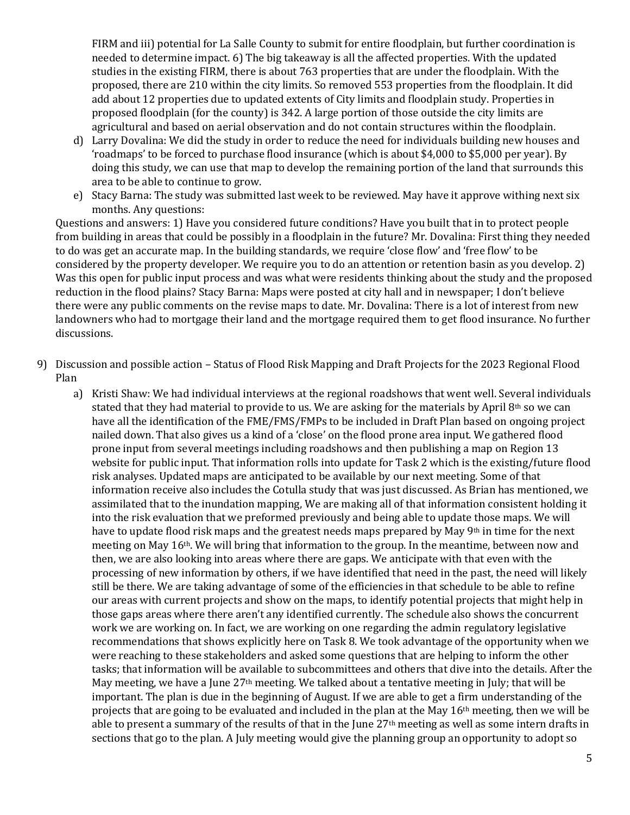FIRM and iii) potential for La Salle County to submit for entire floodplain, but further coordination is needed to determine impact. 6) The big takeaway is all the affected properties. With the updated studies in the existing FIRM, there is about 763 properties that are under the floodplain. With the proposed, there are 210 within the city limits. So removed 553 properties from the floodplain. It did add about 12 properties due to updated extents of City limits and floodplain study. Properties in proposed floodplain (for the county) is 342. A large portion of those outside the city limits are agricultural and based on aerial observation and do not contain structures within the floodplain.

- d) Larry Dovalina: We did the study in order to reduce the need for individuals building new houses and 'roadmaps' to be forced to purchase flood insurance (which is about \$4,000 to \$5,000 per year). By doing this study, we can use that map to develop the remaining portion of the land that surrounds this area to be able to continue to grow.
- e) Stacy Barna: The study was submitted last week to be reviewed. May have it approve withing next six months. Any questions:

Questions and answers: 1) Have you considered future conditions? Have you built that in to protect people from building in areas that could be possibly in a floodplain in the future? Mr. Dovalina: First thing they needed to do was get an accurate map. In the building standards, we require 'close flow' and 'free flow' to be considered by the property developer. We require you to do an attention or retention basin as you develop. 2) Was this open for public input process and was what were residents thinking about the study and the proposed reduction in the flood plains? Stacy Barna: Maps were posted at city hall and in newspaper; I don't believe there were any public comments on the revise maps to date. Mr. Dovalina: There is a lot of interest from new landowners who had to mortgage their land and the mortgage required them to get flood insurance. No further discussions.

- 9) Discussion and possible action Status of Flood Risk Mapping and Draft Projects for the 2023 Regional Flood Plan
	- a) Kristi Shaw: We had individual interviews at the regional roadshows that went well. Several individuals stated that they had material to provide to us. We are asking for the materials by April  $8<sup>th</sup>$  so we can have all the identification of the FME/FMS/FMPs to be included in Draft Plan based on ongoing project nailed down. That also gives us a kind of a 'close' on the flood prone area input. We gathered flood prone input from several meetings including roadshows and then publishing a map on Region 13 website for public input. That information rolls into update for Task 2 which is the existing/future flood risk analyses. Updated maps are anticipated to be available by our next meeting. Some of that information receive also includes the Cotulla study that was just discussed. As Brian has mentioned, we assimilated that to the inundation mapping, We are making all of that information consistent holding it into the risk evaluation that we preformed previously and being able to update those maps. We will have to update flood risk maps and the greatest needs maps prepared by May 9<sup>th</sup> in time for the next meeting on May 16th. We will bring that information to the group. In the meantime, between now and then, we are also looking into areas where there are gaps. We anticipate with that even with the processing of new information by others, if we have identified that need in the past, the need will likely still be there. We are taking advantage of some of the efficiencies in that schedule to be able to refine our areas with current projects and show on the maps, to identify potential projects that might help in those gaps areas where there aren't any identified currently. The schedule also shows the concurrent work we are working on. In fact, we are working on one regarding the admin regulatory legislative recommendations that shows explicitly here on Task 8. We took advantage of the opportunity when we were reaching to these stakeholders and asked some questions that are helping to inform the other tasks; that information will be available to subcommittees and others that dive into the details. After the May meeting, we have a June 27<sup>th</sup> meeting. We talked about a tentative meeting in July; that will be important. The plan is due in the beginning of August. If we are able to get a firm understanding of the projects that are going to be evaluated and included in the plan at the May 16th meeting, then we will be able to present a summary of the results of that in the June 27<sup>th</sup> meeting as well as some intern drafts in sections that go to the plan. A July meeting would give the planning group an opportunity to adopt so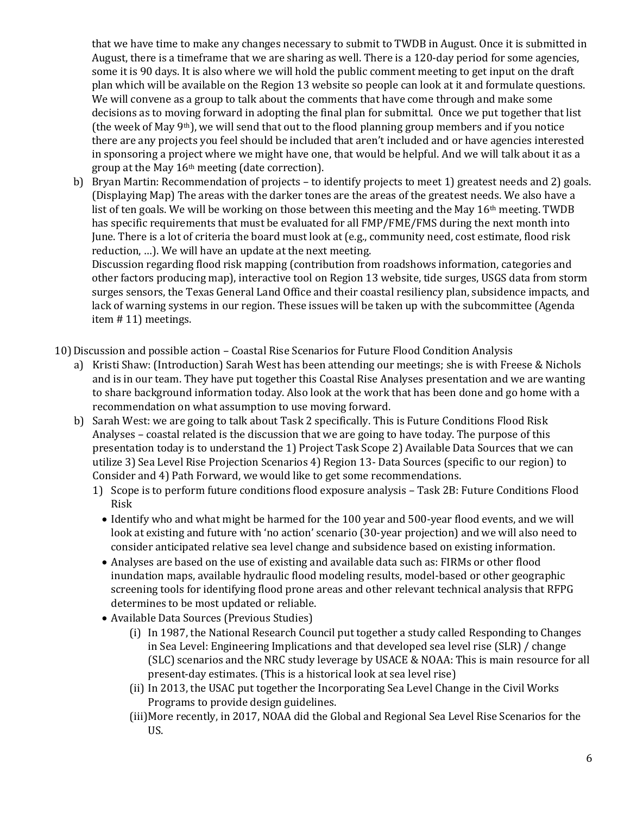that we have time to make any changes necessary to submit to TWDB in August. Once it is submitted in August, there is a timeframe that we are sharing as well. There is a 120-day period for some agencies, some it is 90 days. It is also where we will hold the public comment meeting to get input on the draft plan which will be available on the Region 13 website so people can look at it and formulate questions. We will convene as a group to talk about the comments that have come through and make some decisions as to moving forward in adopting the final plan for submittal. Once we put together that list (the week of May 9<sup>th</sup>), we will send that out to the flood planning group members and if you notice there are any projects you feel should be included that aren't included and or have agencies interested in sponsoring a project where we might have one, that would be helpful. And we will talk about it as a group at the May 16th meeting (date correction).

b) Bryan Martin: Recommendation of projects – to identify projects to meet 1) greatest needs and 2) goals. (Displaying Map) The areas with the darker tones are the areas of the greatest needs. We also have a list of ten goals. We will be working on those between this meeting and the May 16<sup>th</sup> meeting. TWDB has specific requirements that must be evaluated for all FMP/FME/FMS during the next month into June. There is a lot of criteria the board must look at (e.g., community need, cost estimate, flood risk reduction, …). We will have an update at the next meeting.

Discussion regarding flood risk mapping (contribution from roadshows information, categories and other factors producing map), interactive tool on Region 13 website, tide surges, USGS data from storm surges sensors, the Texas General Land Office and their coastal resiliency plan, subsidence impacts, and lack of warning systems in our region. These issues will be taken up with the subcommittee (Agenda item # 11) meetings.

10)Discussion and possible action – Coastal Rise Scenarios for Future Flood Condition Analysis

- a) Kristi Shaw: (Introduction) Sarah West has been attending our meetings; she is with Freese & Nichols and is in our team. They have put together this Coastal Rise Analyses presentation and we are wanting to share background information today. Also look at the work that has been done and go home with a recommendation on what assumption to use moving forward.
- b) Sarah West: we are going to talk about Task 2 specifically. This is Future Conditions Flood Risk Analyses – coastal related is the discussion that we are going to have today. The purpose of this presentation today is to understand the 1) Project Task Scope 2) Available Data Sources that we can utilize 3) Sea Level Rise Projection Scenarios 4) Region 13- Data Sources (specific to our region) to Consider and 4) Path Forward, we would like to get some recommendations.
	- 1) Scope is to perform future conditions flood exposure analysis Task 2B: Future Conditions Flood Risk
		- Identify who and what might be harmed for the 100 year and 500-year flood events, and we will look at existing and future with 'no action' scenario (30-year projection) and we will also need to consider anticipated relative sea level change and subsidence based on existing information.
		- Analyses are based on the use of existing and available data such as: FIRMs or other flood inundation maps, available hydraulic flood modeling results, model-based or other geographic screening tools for identifying flood prone areas and other relevant technical analysis that RFPG determines to be most updated or reliable.
		- Available Data Sources (Previous Studies)
			- (i) In 1987, the National Research Council put together a study called Responding to Changes in Sea Level: Engineering Implications and that developed sea level rise (SLR) / change (SLC) scenarios and the NRC study leverage by USACE & NOAA: This is main resource for all present-day estimates. (This is a historical look at sea level rise)
			- (ii) In 2013, the USAC put together the Incorporating Sea Level Change in the Civil Works Programs to provide design guidelines.
			- (iii)More recently, in 2017, NOAA did the Global and Regional Sea Level Rise Scenarios for the US.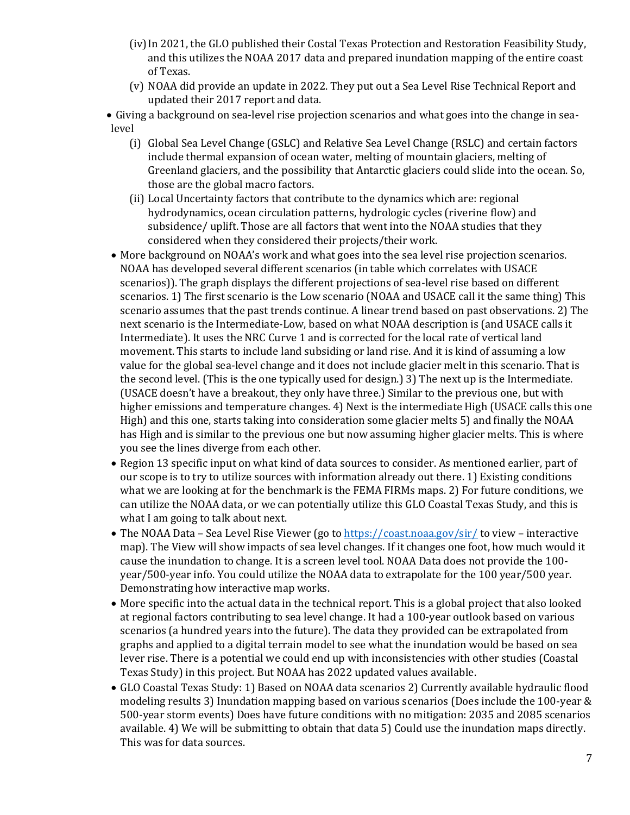- (iv)In 2021, the GLO published their Costal Texas Protection and Restoration Feasibility Study, and this utilizes the NOAA 2017 data and prepared inundation mapping of the entire coast of Texas.
- (v) NOAA did provide an update in 2022. They put out a Sea Level Rise Technical Report and updated their 2017 report and data.
- Giving a background on sea-level rise projection scenarios and what goes into the change in sealevel
	- (i) Global Sea Level Change (GSLC) and Relative Sea Level Change (RSLC) and certain factors include thermal expansion of ocean water, melting of mountain glaciers, melting of Greenland glaciers, and the possibility that Antarctic glaciers could slide into the ocean. So, those are the global macro factors.
	- (ii) Local Uncertainty factors that contribute to the dynamics which are: regional hydrodynamics, ocean circulation patterns, hydrologic cycles (riverine flow) and subsidence/ uplift. Those are all factors that went into the NOAA studies that they considered when they considered their projects/their work.
- More background on NOAA's work and what goes into the sea level rise projection scenarios. NOAA has developed several different scenarios (in table which correlates with USACE scenarios)). The graph displays the different projections of sea-level rise based on different scenarios. 1) The first scenario is the Low scenario (NOAA and USACE call it the same thing) This scenario assumes that the past trends continue. A linear trend based on past observations. 2) The next scenario is the Intermediate-Low, based on what NOAA description is (and USACE calls it Intermediate). It uses the NRC Curve 1 and is corrected for the local rate of vertical land movement. This starts to include land subsiding or land rise. And it is kind of assuming a low value for the global sea-level change and it does not include glacier melt in this scenario. That is the second level. (This is the one typically used for design.) 3) The next up is the Intermediate. (USACE doesn't have a breakout, they only have three.) Similar to the previous one, but with higher emissions and temperature changes. 4) Next is the intermediate High (USACE calls this one High) and this one, starts taking into consideration some glacier melts 5) and finally the NOAA has High and is similar to the previous one but now assuming higher glacier melts. This is where you see the lines diverge from each other.
- Region 13 specific input on what kind of data sources to consider. As mentioned earlier, part of our scope is to try to utilize sources with information already out there. 1) Existing conditions what we are looking at for the benchmark is the FEMA FIRMs maps. 2) For future conditions, we can utilize the NOAA data, or we can potentially utilize this GLO Coastal Texas Study, and this is what I am going to talk about next.
- The NOAA Data Sea Level Rise Viewer (go to  $\frac{https://coastnoaa.gov/sir/}{https://coastnoaa.gov/sir/}$  to view interactive map). The View will show impacts of sea level changes. If it changes one foot, how much would it cause the inundation to change. It is a screen level tool. NOAA Data does not provide the 100 year/500-year info. You could utilize the NOAA data to extrapolate for the 100 year/500 year. Demonstrating how interactive map works.
- More specific into the actual data in the technical report. This is a global project that also looked at regional factors contributing to sea level change. It had a 100-year outlook based on various scenarios (a hundred years into the future). The data they provided can be extrapolated from graphs and applied to a digital terrain model to see what the inundation would be based on sea lever rise. There is a potential we could end up with inconsistencies with other studies (Coastal Texas Study) in this project. But NOAA has 2022 updated values available.
- GLO Coastal Texas Study: 1) Based on NOAA data scenarios 2) Currently available hydraulic flood modeling results 3) Inundation mapping based on various scenarios (Does include the 100-year & 500-year storm events) Does have future conditions with no mitigation: 2035 and 2085 scenarios available. 4) We will be submitting to obtain that data 5) Could use the inundation maps directly. This was for data sources.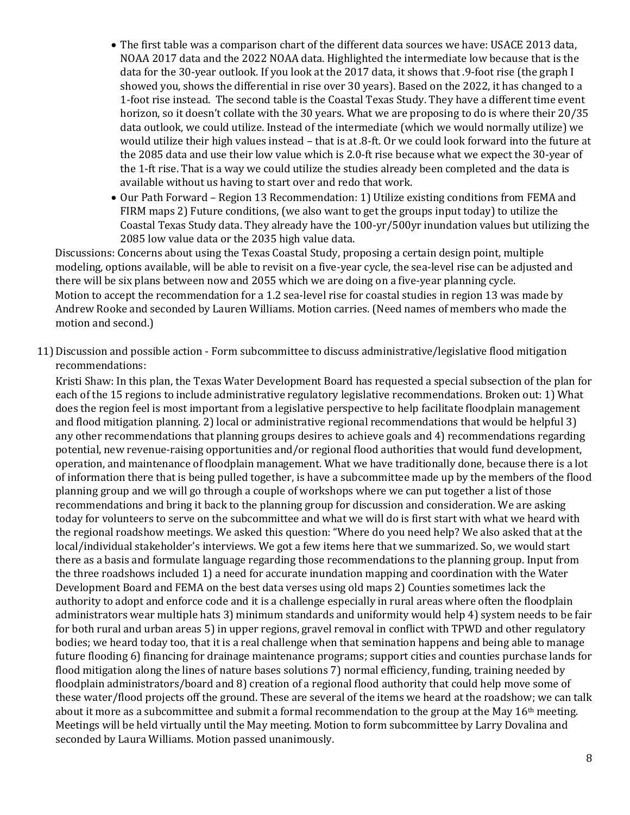- The first table was a comparison chart of the different data sources we have: USACE 2013 data, NOAA 2017 data and the 2022 NOAA data. Highlighted the intermediate low because that is the data for the 30-year outlook. If you look at the 2017 data, it shows that .9-foot rise (the graph I showed you, shows the differential in rise over 30 years). Based on the 2022, it has changed to a 1-foot rise instead. The second table is the Coastal Texas Study. They have a different time event horizon, so it doesn't collate with the 30 years. What we are proposing to do is where their 20/35 data outlook, we could utilize. Instead of the intermediate (which we would normally utilize) we would utilize their high values instead – that is at .8-ft. Or we could look forward into the future at the 2085 data and use their low value which is 2.0-ft rise because what we expect the 30-year of the 1-ft rise. That is a way we could utilize the studies already been completed and the data is available without us having to start over and redo that work.
- Our Path Forward Region 13 Recommendation: 1) Utilize existing conditions from FEMA and FIRM maps 2) Future conditions, (we also want to get the groups input today) to utilize the Coastal Texas Study data. They already have the 100-yr/500yr inundation values but utilizing the 2085 low value data or the 2035 high value data.

Discussions: Concerns about using the Texas Coastal Study, proposing a certain design point, multiple modeling, options available, will be able to revisit on a five-year cycle, the sea-level rise can be adjusted and there will be six plans between now and 2055 which we are doing on a five-year planning cycle. Motion to accept the recommendation for a 1.2 sea-level rise for coastal studies in region 13 was made by Andrew Rooke and seconded by Lauren Williams. Motion carries. (Need names of members who made the motion and second.)

11)Discussion and possible action - Form subcommittee to discuss administrative/legislative flood mitigation recommendations:

Kristi Shaw: In this plan, the Texas Water Development Board has requested a special subsection of the plan for each of the 15 regions to include administrative regulatory legislative recommendations. Broken out: 1) What does the region feel is most important from a legislative perspective to help facilitate floodplain management and flood mitigation planning. 2) local or administrative regional recommendations that would be helpful 3) any other recommendations that planning groups desires to achieve goals and 4) recommendations regarding potential, new revenue-raising opportunities and/or regional flood authorities that would fund development, operation, and maintenance of floodplain management. What we have traditionally done, because there is a lot of information there that is being pulled together, is have a subcommittee made up by the members of the flood planning group and we will go through a couple of workshops where we can put together a list of those recommendations and bring it back to the planning group for discussion and consideration. We are asking today for volunteers to serve on the subcommittee and what we will do is first start with what we heard with the regional roadshow meetings. We asked this question: "Where do you need help? We also asked that at the local/individual stakeholder's interviews. We got a few items here that we summarized. So, we would start there as a basis and formulate language regarding those recommendations to the planning group. Input from the three roadshows included 1) a need for accurate inundation mapping and coordination with the Water Development Board and FEMA on the best data verses using old maps 2) Counties sometimes lack the authority to adopt and enforce code and it is a challenge especially in rural areas where often the floodplain administrators wear multiple hats 3) minimum standards and uniformity would help 4) system needs to be fair for both rural and urban areas 5) in upper regions, gravel removal in conflict with TPWD and other regulatory bodies; we heard today too, that it is a real challenge when that semination happens and being able to manage future flooding 6) financing for drainage maintenance programs; support cities and counties purchase lands for flood mitigation along the lines of nature bases solutions 7) normal efficiency, funding, training needed by floodplain administrators/board and 8) creation of a regional flood authority that could help move some of these water/flood projects off the ground. These are several of the items we heard at the roadshow; we can talk about it more as a subcommittee and submit a formal recommendation to the group at the May 16th meeting. Meetings will be held virtually until the May meeting. Motion to form subcommittee by Larry Dovalina and seconded by Laura Williams. Motion passed unanimously.